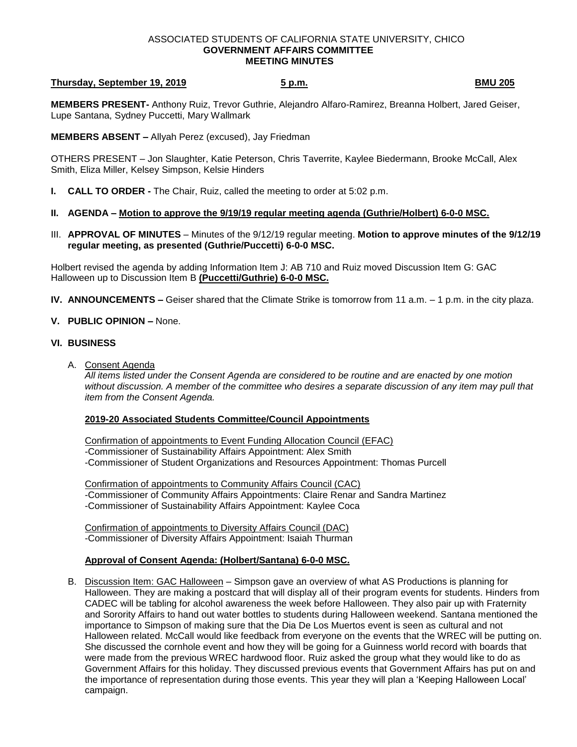#### ASSOCIATED STUDENTS OF CALIFORNIA STATE UNIVERSITY, CHICO **GOVERNMENT AFFAIRS COMMITTEE MEETING MINUTES**

#### **Thursday, September 19, 2019 5 p.m. 5 p.m. 19, 2019 19, 2010 19, 2010 19, 2010 19, 2010 19, 2010 19, 2010 19, 2010 19, 2010 19, 2010 19, 2010 19, 2010 19, 2010 19, 2010 19, 2010 19, 201**

**MEMBERS PRESENT-** Anthony Ruiz, Trevor Guthrie, Alejandro Alfaro-Ramirez, Breanna Holbert, Jared Geiser, Lupe Santana, Sydney Puccetti, Mary Wallmark

**MEMBERS ABSENT –** Allyah Perez (excused), Jay Friedman

OTHERS PRESENT – Jon Slaughter, Katie Peterson, Chris Taverrite, Kaylee Biedermann, Brooke McCall, Alex Smith, Eliza Miller, Kelsey Simpson, Kelsie Hinders

- **I. CALL TO ORDER -** The Chair, Ruiz, called the meeting to order at 5:02 p.m.
- **II. AGENDA – Motion to approve the 9/19/19 regular meeting agenda (Guthrie/Holbert) 6-0-0 MSC.**
- III. **APPROVAL OF MINUTES** Minutes of the 9/12/19 regular meeting. **Motion to approve minutes of the 9/12/19 regular meeting, as presented (Guthrie/Puccetti) 6-0-0 MSC.**

Holbert revised the agenda by adding Information Item J: AB 710 and Ruiz moved Discussion Item G: GAC Halloween up to Discussion Item B **(Puccetti/Guthrie) 6-0-0 MSC.**

**IV. ANNOUNCEMENTS –** Geiser shared that the Climate Strike is tomorrow from 11 a.m. – 1 p.m. in the city plaza.

## **V. PUBLIC OPINION –** None.

## **VI. BUSINESS**

A. Consent Agenda

*All items listed under the Consent Agenda are considered to be routine and are enacted by one motion without discussion. A member of the committee who desires a separate discussion of any item may pull that item from the Consent Agenda.* 

## **2019-20 Associated Students Committee/Council Appointments**

Confirmation of appointments to Event Funding Allocation Council (EFAC) -Commissioner of Sustainability Affairs Appointment: Alex Smith -Commissioner of Student Organizations and Resources Appointment: Thomas Purcell

Confirmation of appointments to Community Affairs Council (CAC) -Commissioner of Community Affairs Appointments: Claire Renar and Sandra Martinez -Commissioner of Sustainability Affairs Appointment: Kaylee Coca

Confirmation of appointments to Diversity Affairs Council (DAC) -Commissioner of Diversity Affairs Appointment: Isaiah Thurman

## **Approval of Consent Agenda: (Holbert/Santana) 6-0-0 MSC.**

B. Discussion Item: GAC Halloween – Simpson gave an overview of what AS Productions is planning for Halloween. They are making a postcard that will display all of their program events for students. Hinders from CADEC will be tabling for alcohol awareness the week before Halloween. They also pair up with Fraternity and Sorority Affairs to hand out water bottles to students during Halloween weekend. Santana mentioned the importance to Simpson of making sure that the Dia De Los Muertos event is seen as cultural and not Halloween related. McCall would like feedback from everyone on the events that the WREC will be putting on. She discussed the cornhole event and how they will be going for a Guinness world record with boards that were made from the previous WREC hardwood floor. Ruiz asked the group what they would like to do as Government Affairs for this holiday. They discussed previous events that Government Affairs has put on and the importance of representation during those events. This year they will plan a 'Keeping Halloween Local' campaign.